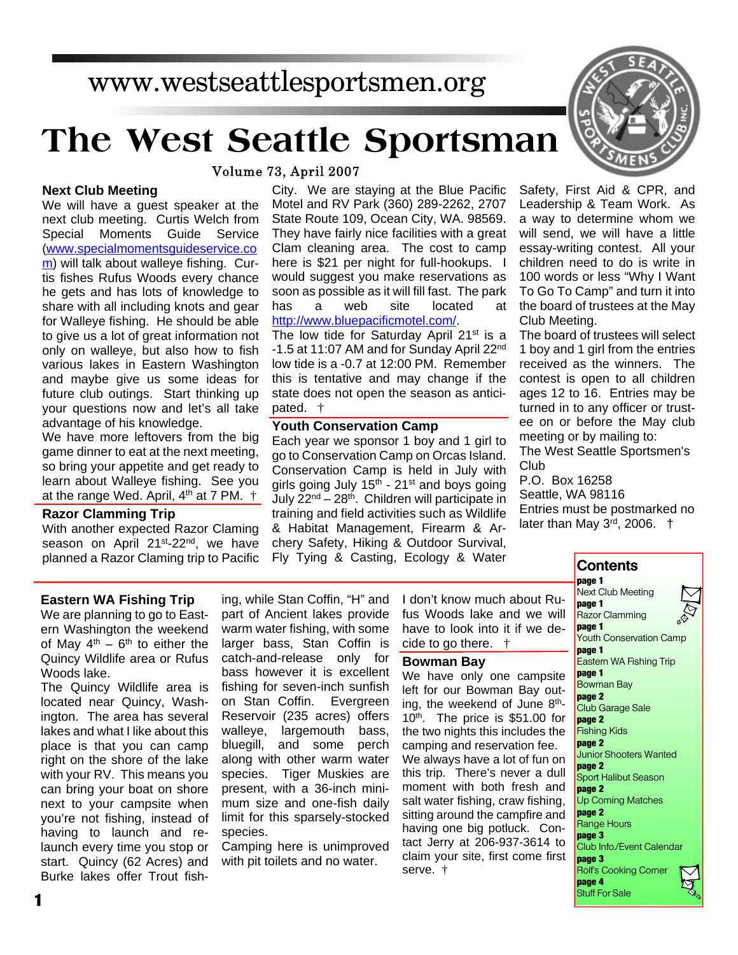## www.westseattlesportsmen.org

# **The West Seattle Sportsman**

Volume 73, April 2007

#### **Next Club Meeting**

We will have a guest speaker at the next club meeting. Curtis Welch from Special Moments Guide Service (www.specialmomentsguideservice.co m) will talk about walleye fishing. Curtis fishes Rufus Woods every chance he gets and has lots of knowledge to share with all including knots and gear for Walleye fishing. He should be able to give us a lot of great information not only on walleye, but also how to fish various lakes in Eastern Washington and maybe give us some ideas for future club outings. Start thinking up your questions now and let's all take advantage of his knowledge.

We have more leftovers from the big game dinner to eat at the next meeting, so bring your appetite and get ready to learn about Walleye fishing. See you at the range Wed. April,  $4<sup>th</sup>$  at 7 PM.  $\dagger$ 

#### **Razor Clamming Trip**

With another expected Razor Claming season on April 21<sup>st</sup>-22<sup>nd</sup>, we have planned a Razor Claming trip to Pacific City. We are staying at the Blue Pacific Motel and RV Park (360) 289-2262, 2707 State Route 109, Ocean City, WA. 98569. They have fairly nice facilities with a great Clam cleaning area. The cost to camp here is \$21 per night for full-hookups. I would suggest you make reservations as soon as possible as it will fill fast. The park has a web site located at http://www.bluepacificmotel.com/.

The low tide for Saturday April 21<sup>st</sup> is a -1.5 at 11:07 AM and for Sunday April 22<sup>nd</sup> low tide is a -0.7 at 12:00 PM. Remember this is tentative and may change if the state does not open the season as anticipated. †

#### **Youth Conservation Camp**

Each year we sponsor 1 boy and 1 girl to go to Conservation Camp on Orcas Island. Conservation Camp is held in July with girls going July  $15<sup>th</sup>$  - 21<sup>st</sup> and boys going July  $22^{nd} - 28^{th}$ . Children will participate in training and field activities such as Wildlife & Habitat Management, Firearm & Archery Safety, Hiking & Outdoor Survival, Fly Tying & Casting, Ecology & Water

Safety, First Aid & CPR, and Leadership & Team Work. As a way to determine whom we will send, we will have a little essay-writing contest. All your children need to do is write in 100 words or less "Why I Want To Go To Camp" and turn it into the board of trustees at the May Club Meeting.

The board of trustees will select 1 boy and 1 girl from the entries received as the winners. The contest is open to all children ages 12 to 16. Entries may be turned in to any officer or trustee on or before the May club meeting or by mailing to:

The West Seattle Sportsmen's Club

P.O. Box 16258 Seattle, WA 98116 Entries must be postmarked no later than May 3<sup>rd</sup>, 2006. †

#### **Eastern WA Fishing Trip**

We are planning to go to Eastern Washington the weekend of May  $4^{th}$  –  $6^{th}$  to either the Quincy Wildlife area or Rufus Woods lake.

The Quincy Wildlife area is located near Quincy, Washington. The area has several lakes and what I like about this place is that you can camp right on the shore of the lake with your RV. This means you can bring your boat on shore next to your campsite when you're not fishing, instead of having to launch and relaunch every time you stop or start. Quincy (62 Acres) and Burke lakes offer Trout fishing, while Stan Coffin, "H" and part of Ancient lakes provide warm water fishing, with some larger bass, Stan Coffin is catch-and-release only for bass however it is excellent fishing for seven-inch sunfish on Stan Coffin. Evergreen Reservoir (235 acres) offers walleye, largemouth bass, bluegill, and some perch along with other warm water species. Tiger Muskies are present, with a 36-inch minimum size and one-fish daily limit for this sparsely-stocked species.

Camping here is unimproved with pit toilets and no water.

I don't know much about Rufus Woods lake and we will have to look into it if we decide to go there. †

#### **Bowman Bay**

We have only one campsite left for our Bowman Bay outing, the weekend of June  $8<sup>th</sup>$ -10<sup>th</sup>. The price is \$51.00 for the two nights this includes the camping and reservation fee. We always have a lot of fun on this trip. There's never a dull moment with both fresh and salt water fishing, craw fishing, sitting around the campfire and having one big potluck. Contact Jerry at 206-937-3614 to claim your site, first come first serve. †



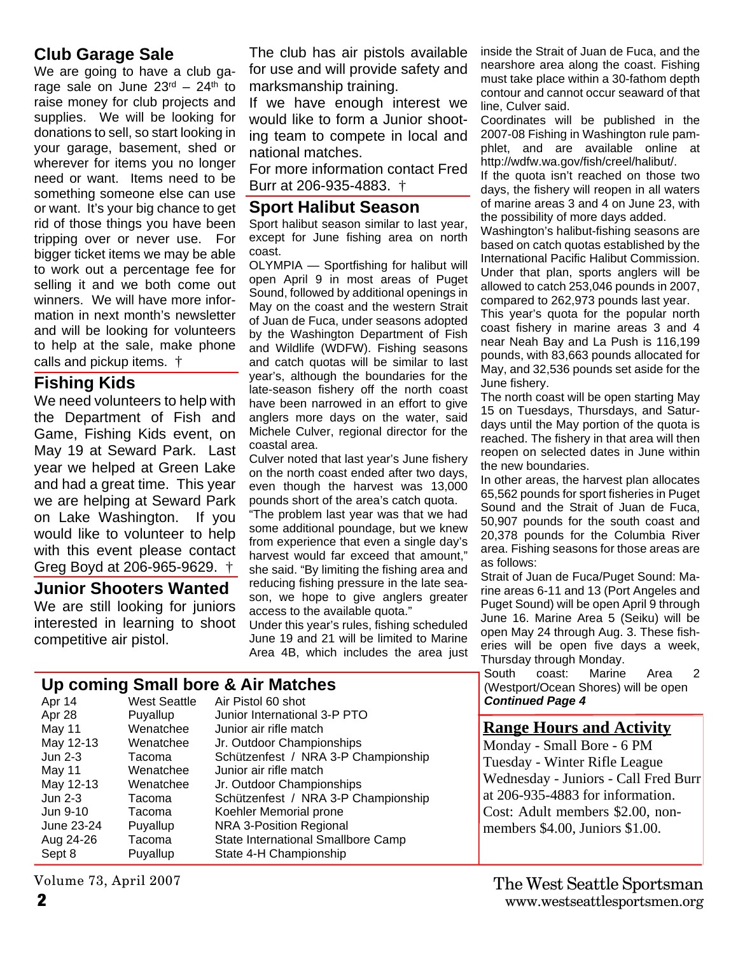### **Club Garage Sale**

We are going to have a club garage sale on June  $23<sup>rd</sup> - 24<sup>th</sup>$  to raise money for club projects and supplies. We will be looking for donations to sell, so start looking in your garage, basement, shed or wherever for items you no longer need or want. Items need to be something someone else can use or want. It's your big chance to get rid of those things you have been tripping over or never use. For bigger ticket items we may be able to work out a percentage fee for selling it and we both come out winners. We will have more information in next month's newsletter and will be looking for volunteers to help at the sale, make phone calls and pickup items. †

#### **Fishing Kids**

We need volunteers to help with the Department of Fish and Game, Fishing Kids event, on May 19 at Seward Park. Last year we helped at Green Lake and had a great time. This year we are helping at Seward Park on Lake Washington. If you would like to volunteer to help with this event please contact Greg Boyd at 206-965-9629. †

#### **Junior Shooters Wanted**

We are still looking for juniors interested in learning to shoot competitive air pistol.

The club has air pistols available for use and will provide safety and marksmanship training.

If we have enough interest we would like to form a Junior shooting team to compete in local and national matches.

For more information contact Fred Burr at 206-935-4883. †

#### **Sport Halibut Season**

Sport halibut season similar to last year, except for June fishing area on north coast.

OLYMPIA — Sportfishing for halibut will open April 9 in most areas of Puget Sound, followed by additional openings in May on the coast and the western Strait of Juan de Fuca, under seasons adopted by the Washington Department of Fish and Wildlife (WDFW). Fishing seasons and catch quotas will be similar to last year's, although the boundaries for the late-season fishery off the north coast have been narrowed in an effort to give anglers more days on the water, said Michele Culver, regional director for the coastal area.

Culver noted that last year's June fishery on the north coast ended after two days, even though the harvest was 13,000 pounds short of the area's catch quota.

"The problem last year was that we had some additional poundage, but we knew from experience that even a single day's harvest would far exceed that amount," she said. "By limiting the fishing area and reducing fishing pressure in the late season, we hope to give anglers greater access to the available quota."

Under this year's rules, fishing scheduled June 19 and 21 will be limited to Marine Area 4B, which includes the area just

#### **Up coming Small bore & Air Matches**

| Apr 14     | <b>West Seattle</b> | Air Pistol 60 shot                  |
|------------|---------------------|-------------------------------------|
| Apr 28     | Puyallup            | Junior International 3-P PTO        |
| May 11     | Wenatchee           | Junior air rifle match              |
| May 12-13  | Wenatchee           | Jr. Outdoor Championships           |
| $Jun 2-3$  | Tacoma              | Schützenfest / NRA 3-P Championship |
| May 11     | Wenatchee           | Junior air rifle match              |
| May 12-13  | Wenatchee           | Jr. Outdoor Championships           |
| Jun $2-3$  | Tacoma              | Schützenfest / NRA 3-P Championship |
| Jun 9-10   | Tacoma              | Koehler Memorial prone              |
| June 23-24 | Puyallup            | NRA 3-Position Regional             |
| Aug 24-26  | Tacoma              | State International Smallbore Camp  |
| Sept 8     | Puyallup            | State 4-H Championship              |

Volume 73, April 2007

inside the Strait of Juan de Fuca, and the nearshore area along the coast. Fishing must take place within a 30-fathom depth contour and cannot occur seaward of that line, Culver said.

Coordinates will be published in the 2007-08 Fishing in Washington rule pamphlet, and are available online at http://wdfw.wa.gov/fish/creel/halibut/.

If the quota isn't reached on those two days, the fishery will reopen in all waters of marine areas 3 and 4 on June 23, with the possibility of more days added.

Washington's halibut-fishing seasons are based on catch quotas established by the International Pacific Halibut Commission. Under that plan, sports anglers will be allowed to catch 253,046 pounds in 2007, compared to 262,973 pounds last year.

This year's quota for the popular north coast fishery in marine areas 3 and 4 near Neah Bay and La Push is 116,199 pounds, with 83,663 pounds allocated for May, and 32,536 pounds set aside for the June fishery.

The north coast will be open starting May 15 on Tuesdays, Thursdays, and Saturdays until the May portion of the quota is reached. The fishery in that area will then reopen on selected dates in June within the new boundaries.

In other areas, the harvest plan allocates 65,562 pounds for sport fisheries in Puget Sound and the Strait of Juan de Fuca, 50,907 pounds for the south coast and 20,378 pounds for the Columbia River area. Fishing seasons for those areas are as follows:

Strait of Juan de Fuca/Puget Sound: Marine areas 6-11 and 13 (Port Angeles and Puget Sound) will be open April 9 through June 16. Marine Area 5 (Seiku) will be open May 24 through Aug. 3. These fisheries will be open five days a week, Thursday through Monday.

South coast: Marine Area 2 (Westport/Ocean Shores) will be open *Continued Page 4*

#### **Range Hours and Activity**

Monday - Small Bore - 6 PM Tuesday - Winter Rifle League Wednesday - Juniors - Call Fred Burr at 206-935-4883 for information. Cost: Adult members \$2.00, nonmembers \$4.00, Juniors \$1.00.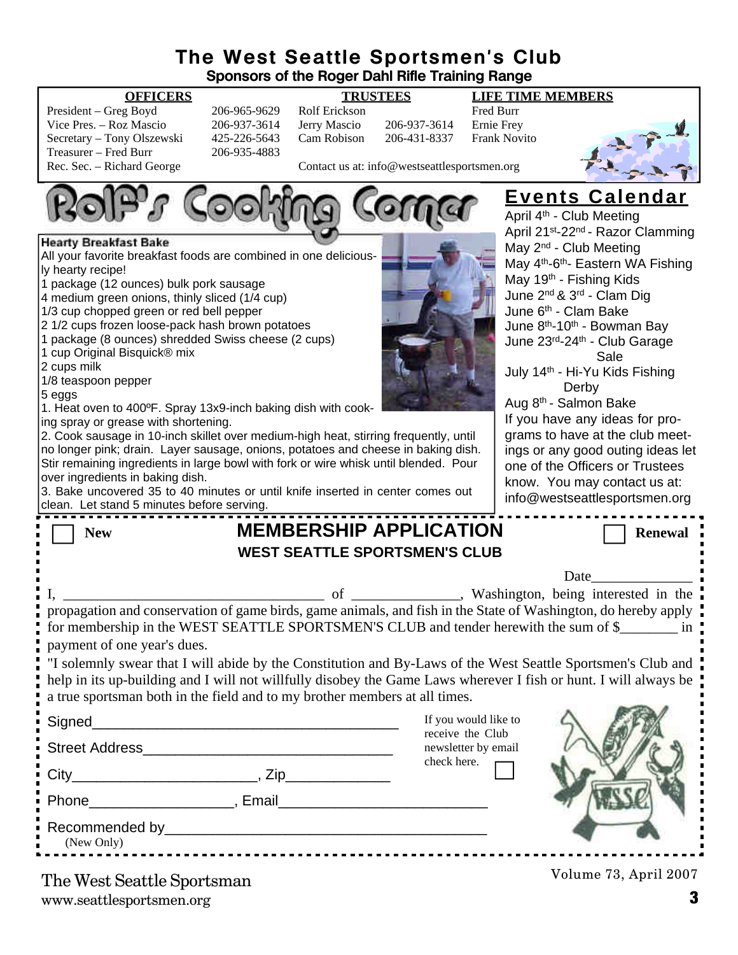#### **The West Seattle Sportsmen's Club Sponsors of the Roger Dahl Rifle Training Range**

| President – Greg Boyd      |  |
|----------------------------|--|
| Vice Pres. – Roz Mascio    |  |
| Secretary – Tony Olszewski |  |
| Treasurer – Fred Burr      |  |
| Rec. Sec. – Richard George |  |

206-965-9629 Rolf Erickson Fred Burr<br>206-937-3614 Jerry Mascio 206-937-3614 Ernie Frev 206-937-3614 Jerry Mascio 206-937-3614<br>425-226-5643 Cam Robison 206-431-8337 425-226-5643 Cam Robison 206-431-8337 Frank Novito

206-935-4883

**OFFICERS TRUSTEES LIFE TIME MEMBERS**



Contact us at: info@westseattlesportsmen.org



www.seattlesportsmen.org **3** The West Seattle Sportsman

Volume 73, April 2007